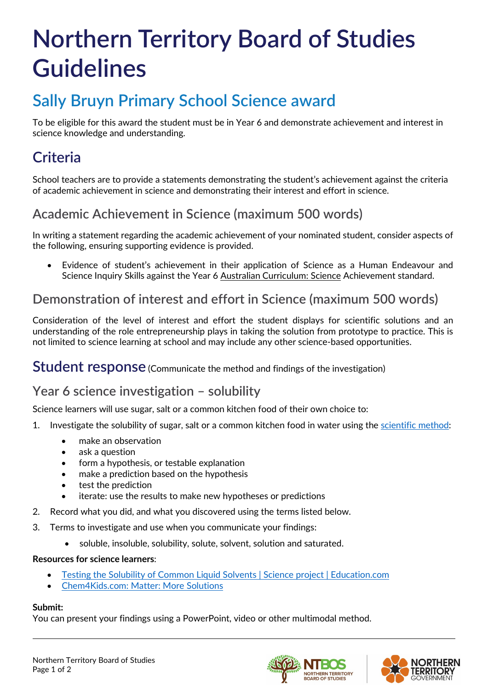# **Northern Territory Board of Studies Guidelines**

# **Sally Bruyn Primary School Science award**

To be eligible for this award the student must be in Year 6 and demonstrate achievement and interest in science knowledge and understanding.

# **Criteria**

School teachers are to provide a statements demonstrating the student's achievement against the criteria of academic achievement in science and demonstrating their interest and effort in science.

### **Academic Achievement in Science (maximum 500 words)**

In writing a statement regarding the academic achievement of your nominated student, consider aspects of the following, ensuring supporting evidence is provided.

• Evidence of student's achievement in their application of Science as a Human Endeavour and Science Inquiry Skills against the Year 6 [Australian Curriculum: Science](https://www.australiancurriculum.edu.au/f-10-curriculum/science/) Achievement standard.

### **Demonstration of interest and effort in Science (maximum 500 words)**

Consideration of the level of interest and effort the student displays for scientific solutions and an understanding of the role entrepreneurship plays in taking the solution from prototype to practice. This is not limited to science learning at school and may include any other science-based opportunities.

**Student response** (Communicate the method and findings of the investigation)

### **Year 6 science investigation – solubility**

Science learners will use sugar, salt or a common kitchen food of their own choice to:

- 1. Investigate the solubility of sugar, salt or a common kitchen food in water using the [scientific method:](https://www.khanacademy.org/science/biology/intro-to-biology/science-of-biology/a/the-science-of-biology)
	- make an observation
	- ask a question
	- form a hypothesis, or testable explanation
	- make a prediction based on the hypothesis
	- test the prediction
	- iterate: use the results to make new hypotheses or predictions
- 2. Record what you did, and what you discovered using the terms listed below.
- 3. Terms to investigate and use when you communicate your findings:
	- soluble, insoluble, solubility, solute, solvent, solution and saturated.

#### **Resources for science learners**:

- Testing [the Solubility of Common Liquid Solvents | Science project | Education.com](https://www.education.com/science-fair/article/liquid-solubility-test/)
- [Chem4Kids.com: Matter: More Solutions](http://www.chem4kids.com/files/matter_solution2.html)

#### **Submit:**

You can present your findings using a PowerPoint, video or other multimodal method.